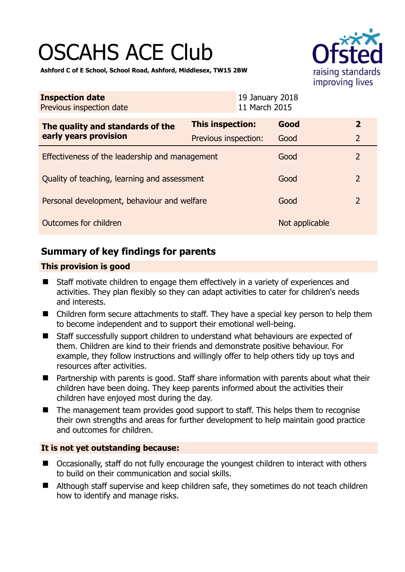# OSCAHS ACE Club



**Ashford C of E School, School Road, Ashford, Middlesex, TW15 2BW** 

| <b>Inspection date</b><br>Previous inspection date        | 19 January 2018<br>11 March 2015 |                |                |
|-----------------------------------------------------------|----------------------------------|----------------|----------------|
| The quality and standards of the<br>early years provision | This inspection:                 | Good           | $\overline{2}$ |
|                                                           | Previous inspection:             | Good           | $\overline{2}$ |
| Effectiveness of the leadership and management            |                                  | Good           | $\overline{2}$ |
| Quality of teaching, learning and assessment              |                                  | Good           | $\overline{2}$ |
| Personal development, behaviour and welfare               |                                  | Good           | $\mathcal{P}$  |
| Outcomes for children                                     |                                  | Not applicable |                |

# **Summary of key findings for parents**

## **This provision is good**

- Staff motivate children to engage them effectively in a variety of experiences and activities. They plan flexibly so they can adapt activities to cater for children's needs and interests.
- Children form secure attachments to staff. They have a special key person to help them to become independent and to support their emotional well-being.
- Staff successfully support children to understand what behaviours are expected of them. Children are kind to their friends and demonstrate positive behaviour. For example, they follow instructions and willingly offer to help others tidy up toys and resources after activities.
- Partnership with parents is good. Staff share information with parents about what their children have been doing. They keep parents informed about the activities their children have enjoyed most during the day.
- The management team provides good support to staff. This helps them to recognise their own strengths and areas for further development to help maintain good practice and outcomes for children.

## **It is not yet outstanding because:**

- Occasionally, staff do not fully encourage the youngest children to interact with others to build on their communication and social skills.
- Although staff supervise and keep children safe, they sometimes do not teach children how to identify and manage risks.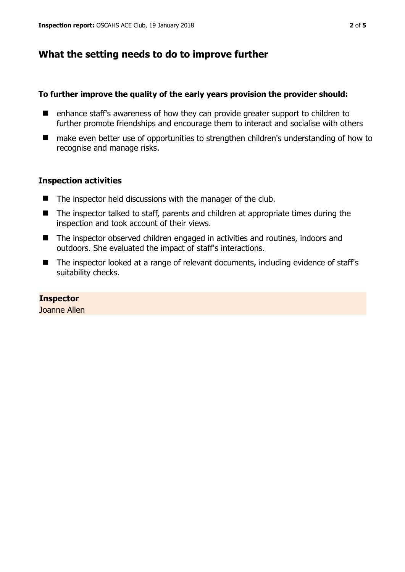# **What the setting needs to do to improve further**

#### **To further improve the quality of the early years provision the provider should:**

- enhance staff's awareness of how they can provide greater support to children to further promote friendships and encourage them to interact and socialise with others
- make even better use of opportunities to strengthen children's understanding of how to recognise and manage risks.

#### **Inspection activities**

- $\blacksquare$  The inspector held discussions with the manager of the club.
- The inspector talked to staff, parents and children at appropriate times during the inspection and took account of their views.
- The inspector observed children engaged in activities and routines, indoors and outdoors. She evaluated the impact of staff's interactions.
- The inspector looked at a range of relevant documents, including evidence of staff's suitability checks.

#### **Inspector**

Joanne Allen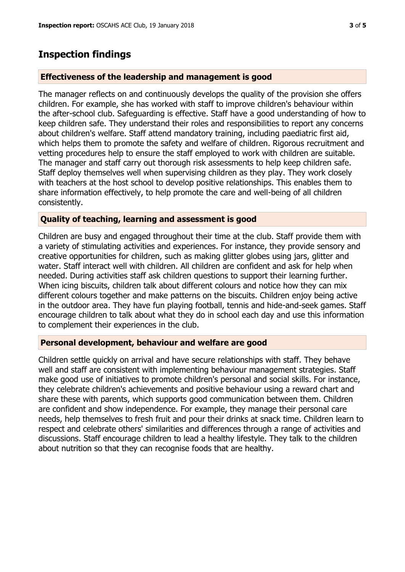## **Inspection findings**

#### **Effectiveness of the leadership and management is good**

The manager reflects on and continuously develops the quality of the provision she offers children. For example, she has worked with staff to improve children's behaviour within the after-school club. Safeguarding is effective. Staff have a good understanding of how to keep children safe. They understand their roles and responsibilities to report any concerns about children's welfare. Staff attend mandatory training, including paediatric first aid, which helps them to promote the safety and welfare of children. Rigorous recruitment and vetting procedures help to ensure the staff employed to work with children are suitable. The manager and staff carry out thorough risk assessments to help keep children safe. Staff deploy themselves well when supervising children as they play. They work closely with teachers at the host school to develop positive relationships. This enables them to share information effectively, to help promote the care and well-being of all children consistently.

#### **Quality of teaching, learning and assessment is good**

Children are busy and engaged throughout their time at the club. Staff provide them with a variety of stimulating activities and experiences. For instance, they provide sensory and creative opportunities for children, such as making glitter globes using jars, glitter and water. Staff interact well with children. All children are confident and ask for help when needed. During activities staff ask children questions to support their learning further. When icing biscuits, children talk about different colours and notice how they can mix different colours together and make patterns on the biscuits. Children enjoy being active in the outdoor area. They have fun playing football, tennis and hide-and-seek games. Staff encourage children to talk about what they do in school each day and use this information to complement their experiences in the club.

#### **Personal development, behaviour and welfare are good**

Children settle quickly on arrival and have secure relationships with staff. They behave well and staff are consistent with implementing behaviour management strategies. Staff make good use of initiatives to promote children's personal and social skills. For instance, they celebrate children's achievements and positive behaviour using a reward chart and share these with parents, which supports good communication between them. Children are confident and show independence. For example, they manage their personal care needs, help themselves to fresh fruit and pour their drinks at snack time. Children learn to respect and celebrate others' similarities and differences through a range of activities and discussions. Staff encourage children to lead a healthy lifestyle. They talk to the children about nutrition so that they can recognise foods that are healthy.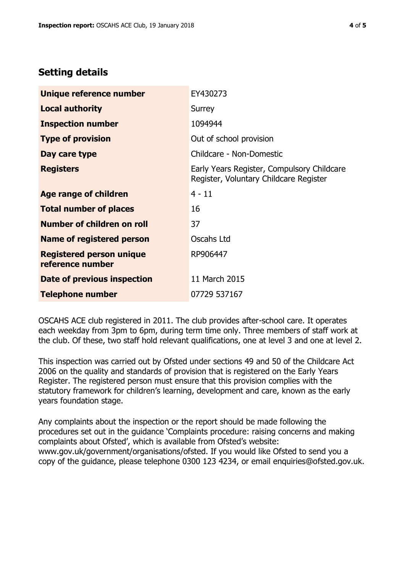# **Setting details**

| Unique reference number                             | EY430273                                                                             |  |
|-----------------------------------------------------|--------------------------------------------------------------------------------------|--|
| <b>Local authority</b>                              | Surrey                                                                               |  |
| <b>Inspection number</b>                            | 1094944                                                                              |  |
| <b>Type of provision</b>                            | Out of school provision                                                              |  |
| Day care type                                       | Childcare - Non-Domestic                                                             |  |
| <b>Registers</b>                                    | Early Years Register, Compulsory Childcare<br>Register, Voluntary Childcare Register |  |
| Age range of children                               | $4 - 11$                                                                             |  |
| <b>Total number of places</b>                       | 16                                                                                   |  |
| Number of children on roll                          | 37                                                                                   |  |
| Name of registered person                           | Oscahs Ltd                                                                           |  |
| <b>Registered person unique</b><br>reference number | RP906447                                                                             |  |
| Date of previous inspection                         | 11 March 2015                                                                        |  |
| <b>Telephone number</b>                             | 07729 537167                                                                         |  |

OSCAHS ACE club registered in 2011. The club provides after-school care. It operates each weekday from 3pm to 6pm, during term time only. Three members of staff work at the club. Of these, two staff hold relevant qualifications, one at level 3 and one at level 2.

This inspection was carried out by Ofsted under sections 49 and 50 of the Childcare Act 2006 on the quality and standards of provision that is registered on the Early Years Register. The registered person must ensure that this provision complies with the statutory framework for children's learning, development and care, known as the early years foundation stage.

Any complaints about the inspection or the report should be made following the procedures set out in the guidance 'Complaints procedure: raising concerns and making complaints about Ofsted', which is available from Ofsted's website: www.gov.uk/government/organisations/ofsted. If you would like Ofsted to send you a copy of the guidance, please telephone 0300 123 4234, or email enquiries@ofsted.gov.uk.